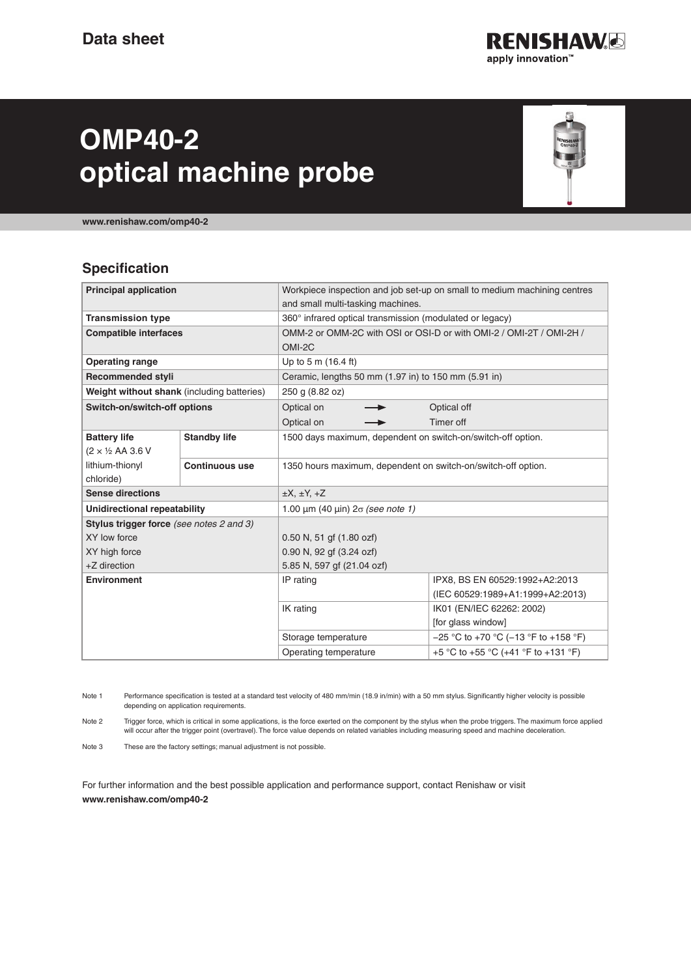

# **OMP40-2 optical machine probe**



**[www.renishaw.com/omp40-2](http://www.renishaw.com/omp40-2)**

#### **Specification**

| Workpiece inspection and job set-up on small to medium machining centres<br>and small multi-tasking machines.<br>360° infrared optical transmission (modulated or legacy) |  |  |
|---------------------------------------------------------------------------------------------------------------------------------------------------------------------------|--|--|
|                                                                                                                                                                           |  |  |
|                                                                                                                                                                           |  |  |
|                                                                                                                                                                           |  |  |
| OMM-2 or OMM-2C with OSI or OSI-D or with OMI-2 / OMI-2T / OMI-2H /                                                                                                       |  |  |
| OMI-2C                                                                                                                                                                    |  |  |
| Up to 5 m (16.4 ft)                                                                                                                                                       |  |  |
| Ceramic, lengths 50 mm (1.97 in) to 150 mm (5.91 in)                                                                                                                      |  |  |
| 250 g (8.82 oz)                                                                                                                                                           |  |  |
| Optical off                                                                                                                                                               |  |  |
| Timer off                                                                                                                                                                 |  |  |
| 1500 days maximum, dependent on switch-on/switch-off option.                                                                                                              |  |  |
|                                                                                                                                                                           |  |  |
| 1350 hours maximum, dependent on switch-on/switch-off option.                                                                                                             |  |  |
|                                                                                                                                                                           |  |  |
| $\pm X$ , $\pm Y$ , $\pm Z$                                                                                                                                               |  |  |
| 1.00 $\mu$ m (40 $\mu$ in) $2\sigma$ (see note 1)                                                                                                                         |  |  |
|                                                                                                                                                                           |  |  |
| $0.50$ N, 51 gf $(1.80$ ozf)                                                                                                                                              |  |  |
| 0.90 N, 92 gf (3.24 ozf)                                                                                                                                                  |  |  |
| 5.85 N, 597 gf (21.04 ozf)                                                                                                                                                |  |  |
| IPX8, BS EN 60529:1992+A2:2013                                                                                                                                            |  |  |
| (IEC 60529:1989+A1:1999+A2:2013)                                                                                                                                          |  |  |
| IK01 (EN/IEC 62262: 2002)                                                                                                                                                 |  |  |
| [for glass window]                                                                                                                                                        |  |  |
|                                                                                                                                                                           |  |  |
| $-25$ °C to +70 °C (-13 °F to +158 °F)                                                                                                                                    |  |  |
|                                                                                                                                                                           |  |  |

Note 1 Performance specification is tested at a standard test velocity of 480 mm/min (18.9 in/min) with a 50 mm stylus. Significantly higher velocity is possible depending on application requirements.

Note 2 Trigger force, which is critical in some applications, is the force exerted on the component by the stylus when the probe triggers. The maximum force applied will occur after the trigger point (overtravel). The force value depends on related variables including measuring speed and machine deceleration.

Note 3 These are the factory settings; manual adjustment is not possible.

For further information and the best possible application and performance support, contact Renishaw or visit **[www.renishaw.com/omp40](http://www.renishaw.com/omp40-2)-2**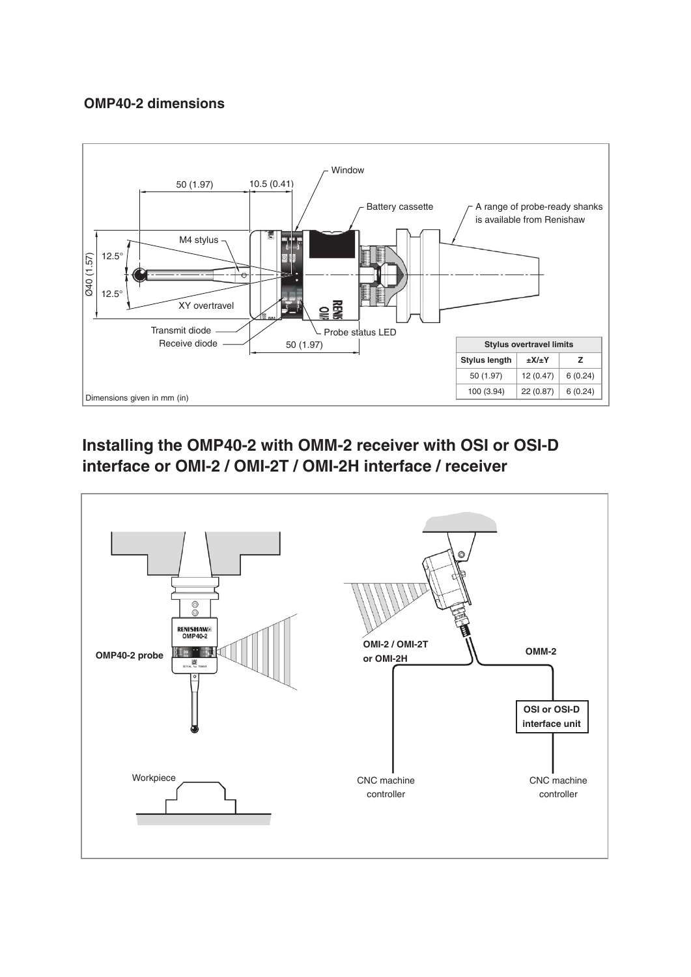#### **OMP40-2 dimensions**



## **Installing the OMP40-2 with OMM-2 receiver with OSI or OSI-D interface or OMI-2 / OMI-2T / OMI-2H interface / receiver**

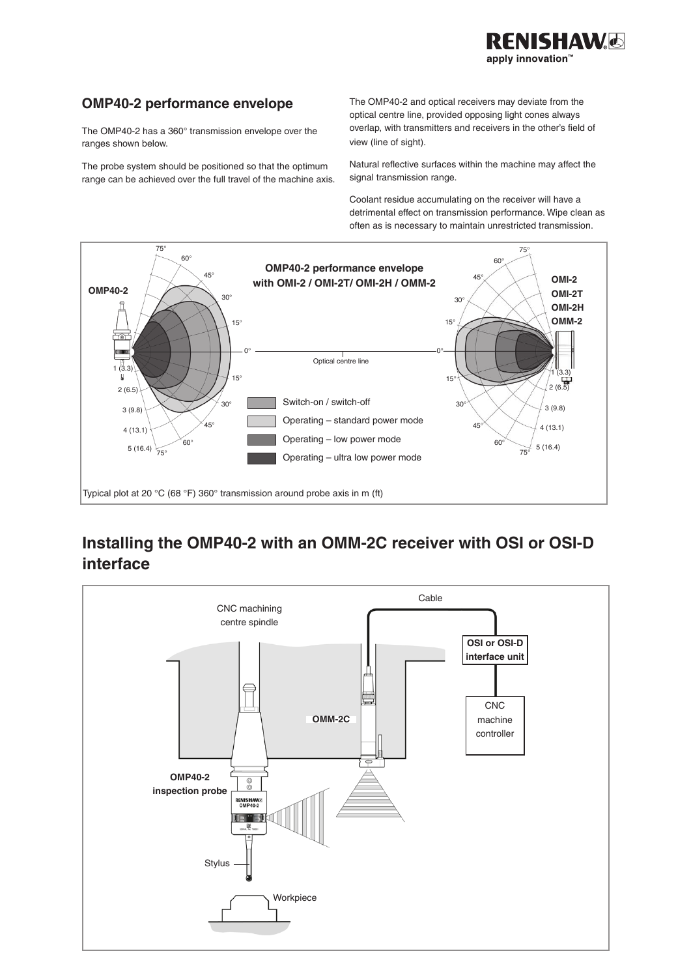#### **OMP40-2 performance envelope**

The OMP40-2 has a 360° transmission envelope over the ranges shown below.

The probe system should be positioned so that the optimum range can be achieved over the full travel of the machine axis. The OMP40-2 and optical receivers may deviate from the optical centre line, provided opposing light cones always overlap, with transmitters and receivers in the other's field of view (line of sight).

**NISHAW**G

apply innovation"

Natural reflective surfaces within the machine may affect the signal transmission range.

Coolant residue accumulating on the receiver will have a detrimental effect on transmission performance. Wipe clean as often as is necessary to maintain unrestricted transmission.



## **Installing the OMP40-2 with an OMM-2C receiver with OSI or OSI-D interface**